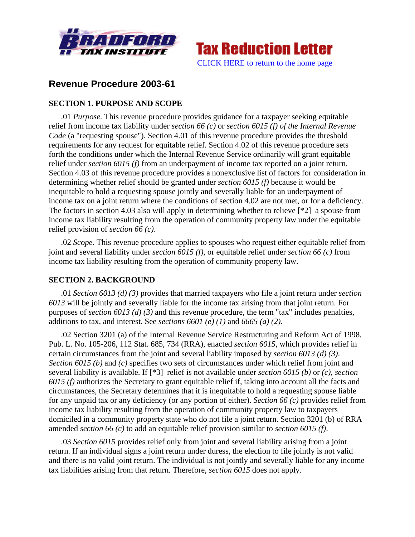



# **Revenue Procedure 2003-61**

# **SECTION 1. PURPOSE AND SCOPE**

.01 *Purpose.* This revenue procedure provides guidance for a taxpayer seeking equitable relief from income tax liability under *section 66 (c)* or *section 6015 (f) of the Internal Revenue Code* (a "requesting spouse"). Section 4.01 of this revenue procedure provides the threshold requirements for any request for equitable relief. Section 4.02 of this revenue procedure sets forth the conditions under which the Internal Revenue Service ordinarily will grant equitable relief under *section 6015 (f)* from an underpayment of income tax reported on a joint return. Section 4.03 of this revenue procedure provides a nonexclusive list of factors for consideration in determining whether relief should be granted under *section 6015 (f)* because it would be inequitable to hold a requesting spouse jointly and severally liable for an underpayment of income tax on a joint return where the conditions of section 4.02 are not met, or for a deficiency. The factors in section 4.03 also will apply in determining whether to relieve [\*2] a spouse from income tax liability resulting from the operation of community property law under the equitable relief provision of *section 66 (c)*.

.02 *Scope.* This revenue procedure applies to spouses who request either equitable relief from joint and several liability under *section 6015 (f)*, or equitable relief under *section 66 (c)* from income tax liability resulting from the operation of community property law.

# **SECTION 2. BACKGROUND**

.01 *Section 6013 (d) (3)* provides that married taxpayers who file a joint return under *section 6013* will be jointly and severally liable for the income tax arising from that joint return. For purposes of *section 6013 (d) (3)* and this revenue procedure, the term "tax" includes penalties, additions to tax, and interest. See *sections 6601 (e) (1)* and *6665 (a) (2)*.

.02 Section 3201 (a) of the Internal Revenue Service Restructuring and Reform Act of 1998, Pub. L. No. 105-206, 112 Stat. 685, 734 (RRA), enacted *section 6015*, which provides relief in certain circumstances from the joint and several liability imposed by *section 6013 (d) (3)*. *Section 6015 (b)* and *(c)* specifies two sets of circumstances under which relief from joint and several liability is available. If [\*3] relief is not available under *section 6015 (b)* or *(c)*, *section 6015 (f)* authorizes the Secretary to grant equitable relief if, taking into account all the facts and circumstances, the Secretary determines that it is inequitable to hold a requesting spouse liable for any unpaid tax or any deficiency (or any portion of either). *Section 66 (c)* provides relief from income tax liability resulting from the operation of community property law to taxpayers domiciled in a community property state who do not file a joint return. Section 3201 (b) of RRA amended *section 66 (c)* to add an equitable relief provision similar to *section 6015 (f)*.

.03 *Section 6015* provides relief only from joint and several liability arising from a joint return. If an individual signs a joint return under duress, the election to file jointly is not valid and there is no valid joint return. The individual is not jointly and severally liable for any income tax liabilities arising from that return. Therefore, *section 6015* does not apply.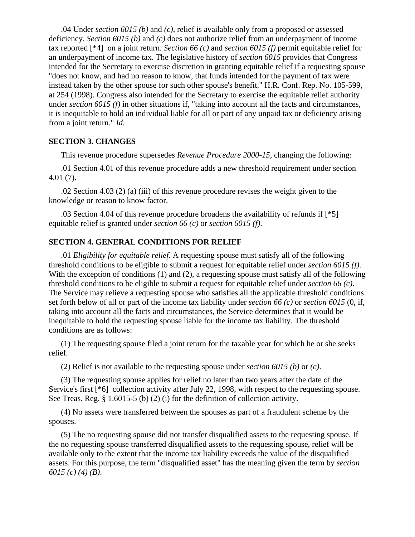.04 Under *section 6015 (b)* and *(c)*, relief is available only from a proposed or assessed deficiency. *Section 6015 (b)* and *(c)* does not authorize relief from an underpayment of income tax reported [\*4] on a joint return. *Section 66 (c)* and *section 6015 (f)* permit equitable relief for an underpayment of income tax. The legislative history of *section 6015* provides that Congress intended for the Secretary to exercise discretion in granting equitable relief if a requesting spouse "does not know, and had no reason to know, that funds intended for the payment of tax were instead taken by the other spouse for such other spouse's benefit." H.R. Conf. Rep. No. 105-599, at 254 (1998). Congress also intended for the Secretary to exercise the equitable relief authority under *section 6015 (f)* in other situations if, "taking into account all the facts and circumstances, it is inequitable to hold an individual liable for all or part of any unpaid tax or deficiency arising from a joint return." *Id.*

# **SECTION 3. CHANGES**

This revenue procedure supersedes *Revenue Procedure 2000-15*, changing the following:

.01 Section 4.01 of this revenue procedure adds a new threshold requirement under section 4.01 (7).

.02 Section 4.03 (2) (a) (iii) of this revenue procedure revises the weight given to the knowledge or reason to know factor.

.03 Section 4.04 of this revenue procedure broadens the availability of refunds if [\*5] equitable relief is granted under *section 66 (c)* or *section 6015 (f)*.

# **SECTION 4. GENERAL CONDITIONS FOR RELIEF**

.01 *Eligibility for equitable relief.* A requesting spouse must satisfy all of the following threshold conditions to be eligible to submit a request for equitable relief under *section 6015 (f)*. With the exception of conditions (1) and (2), a requesting spouse must satisfy all of the following threshold conditions to be eligible to submit a request for equitable relief under *section 66 (c)*. The Service may relieve a requesting spouse who satisfies all the applicable threshold conditions set forth below of all or part of the income tax liability under *section 66 (c)* or *section 6015* (0, if, taking into account all the facts and circumstances, the Service determines that it would be inequitable to hold the requesting spouse liable for the income tax liability. The threshold conditions are as follows:

(1) The requesting spouse filed a joint return for the taxable year for which he or she seeks relief.

(2) Relief is not available to the requesting spouse under *section 6015 (b)* or *(c)*.

(3) The requesting spouse applies for relief no later than two years after the date of the Service's first [\*6] collection activity after July 22, 1998, with respect to the requesting spouse. See Treas. Reg. § 1.6015-5 (b) (2) (i) for the definition of collection activity.

(4) No assets were transferred between the spouses as part of a fraudulent scheme by the spouses.

(5) The no requesting spouse did not transfer disqualified assets to the requesting spouse. If the no requesting spouse transferred disqualified assets to the requesting spouse, relief will be available only to the extent that the income tax liability exceeds the value of the disqualified assets. For this purpose, the term "disqualified asset" has the meaning given the term by *section 6015 (c) (4) (B)*.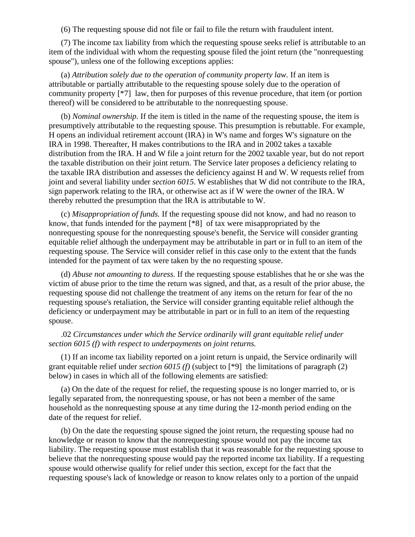(6) The requesting spouse did not file or fail to file the return with fraudulent intent.

(7) The income tax liability from which the requesting spouse seeks relief is attributable to an item of the individual with whom the requesting spouse filed the joint return (the "nonrequesting spouse"), unless one of the following exceptions applies:

(a) *Attribution solely due to the operation of community property law.* If an item is attributable or partially attributable to the requesting spouse solely due to the operation of community property [\*7] law, then for purposes of this revenue procedure, that item (or portion thereof) will be considered to be attributable to the nonrequesting spouse.

(b) *Nominal ownership.* If the item is titled in the name of the requesting spouse, the item is presumptively attributable to the requesting spouse. This presumption is rebuttable. For example, H opens an individual retirement account (IRA) in W's name and forges W's signature on the IRA in 1998. Thereafter, H makes contributions to the IRA and in 2002 takes a taxable distribution from the IRA. H and W file a joint return for the 2002 taxable year, but do not report the taxable distribution on their joint return. The Service later proposes a deficiency relating to the taxable IRA distribution and assesses the deficiency against H and W. W requests relief from joint and several liability under *section 6015*. W establishes that W did not contribute to the IRA, sign paperwork relating to the IRA, or otherwise act as if W were the owner of the IRA. W thereby rebutted the presumption that the IRA is attributable to W.

(c) *Misappropriation of funds.* If the requesting spouse did not know, and had no reason to know, that funds intended for the payment [\*8] of tax were misappropriated by the nonrequesting spouse for the nonrequesting spouse's benefit, the Service will consider granting equitable relief although the underpayment may be attributable in part or in full to an item of the requesting spouse. The Service will consider relief in this case only to the extent that the funds intended for the payment of tax were taken by the no requesting spouse.

(d) *Abuse not amounting to duress.* If the requesting spouse establishes that he or she was the victim of abuse prior to the time the return was signed, and that, as a result of the prior abuse, the requesting spouse did not challenge the treatment of any items on the return for fear of the no requesting spouse's retaliation, the Service will consider granting equitable relief although the deficiency or underpayment may be attributable in part or in full to an item of the requesting spouse.

#### .02 *Circumstances under which the Service ordinarily will grant equitable relief under section 6015 (f) with respect to underpayments on joint returns.*

(1) If an income tax liability reported on a joint return is unpaid, the Service ordinarily will grant equitable relief under *section 6015 (f)* (subject to [\*9] the limitations of paragraph (2) below) in cases in which all of the following elements are satisfied:

(a) On the date of the request for relief, the requesting spouse is no longer married to, or is legally separated from, the nonrequesting spouse, or has not been a member of the same household as the nonrequesting spouse at any time during the 12-month period ending on the date of the request for relief.

(b) On the date the requesting spouse signed the joint return, the requesting spouse had no knowledge or reason to know that the nonrequesting spouse would not pay the income tax liability. The requesting spouse must establish that it was reasonable for the requesting spouse to believe that the nonrequesting spouse would pay the reported income tax liability. If a requesting spouse would otherwise qualify for relief under this section, except for the fact that the requesting spouse's lack of knowledge or reason to know relates only to a portion of the unpaid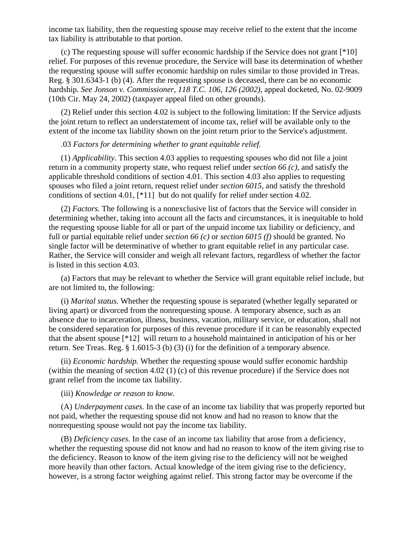income tax liability, then the requesting spouse may receive relief to the extent that the income tax liability is attributable to that portion.

(c) The requesting spouse will suffer economic hardship if the Service does not grant [\*10] relief. For purposes of this revenue procedure, the Service will base its determination of whether the requesting spouse will suffer economic hardship on rules similar to those provided in Treas. Reg. § 301.6343-1 (b) (4). After the requesting spouse is deceased, there can be no economic hardship. *See Jonson v. Commissioner, 118 T.C. 106, 126 (2002)*, appeal docketed, No. 02-9009 (10th Cir. May 24, 2002) (taxpayer appeal filed on other grounds).

(2) Relief under this section 4.02 is subject to the following limitation: If the Service adjusts the joint return to reflect an understatement of income tax, relief will be available only to the extent of the income tax liability shown on the joint return prior to the Service's adjustment.

#### .03 *Factors for determining whether to grant equitable relief.*

(1) *Applicability.* This section 4.03 applies to requesting spouses who did not file a joint return in a community property state, who request relief under *section 66 (c)*, and satisfy the applicable threshold conditions of section 4.01. This section 4.03 also applies to requesting spouses who filed a joint return, request relief under *section 6015*, and satisfy the threshold conditions of section 4.01, [\*11] but do not qualify for relief under section 4.02.

(2) *Factors.* The following is a nonexclusive list of factors that the Service will consider in determining whether, taking into account all the facts and circumstances, it is inequitable to hold the requesting spouse liable for all or part of the unpaid income tax liability or deficiency, and full or partial equitable relief under *section 66 (c)* or *section 6015 (f)* should be granted. No single factor will be determinative of whether to grant equitable relief in any particular case. Rather, the Service will consider and weigh all relevant factors, regardless of whether the factor is listed in this section 4.03.

(a) Factors that may be relevant to whether the Service will grant equitable relief include, but are not limited to, the following:

(i) *Marital status.* Whether the requesting spouse is separated (whether legally separated or living apart) or divorced from the nonrequesting spouse. A temporary absence, such as an absence due to incarceration, illness, business, vacation, military service, or education, shall not be considered separation for purposes of this revenue procedure if it can be reasonably expected that the absent spouse [\*12] will return to a household maintained in anticipation of his or her return. See Treas. Reg. § 1.6015-3 (b) (3) (i) for the definition of a temporary absence.

(ii) *Economic hardship.* Whether the requesting spouse would suffer economic hardship (within the meaning of section 4.02 (1) (c) of this revenue procedure) if the Service does not grant relief from the income tax liability.

#### (iii) *Knowledge or reason to know.*

(A) *Underpayment cases.* In the case of an income tax liability that was properly reported but not paid, whether the requesting spouse did not know and had no reason to know that the nonrequesting spouse would not pay the income tax liability.

(B) *Deficiency cases.* In the case of an income tax liability that arose from a deficiency, whether the requesting spouse did not know and had no reason to know of the item giving rise to the deficiency. Reason to know of the item giving rise to the deficiency will not be weighed more heavily than other factors. Actual knowledge of the item giving rise to the deficiency, however, is a strong factor weighing against relief. This strong factor may be overcome if the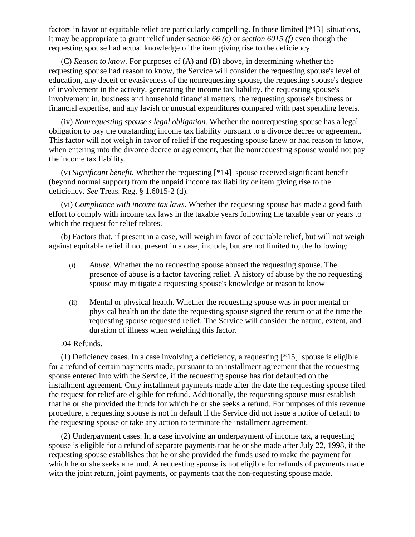factors in favor of equitable relief are particularly compelling. In those limited [\*13] situations, it may be appropriate to grant relief under *section 66 (c)* or *section 6015 (f)* even though the requesting spouse had actual knowledge of the item giving rise to the deficiency.

(C) *Reason to know.* For purposes of (A) and (B) above, in determining whether the requesting spouse had reason to know, the Service will consider the requesting spouse's level of education, any deceit or evasiveness of the nonrequesting spouse, the requesting spouse's degree of involvement in the activity, generating the income tax liability, the requesting spouse's involvement in, business and household financial matters, the requesting spouse's business or financial expertise, and any lavish or unusual expenditures compared with past spending levels.

(iv) *Nonrequesting spouse's legal obligation.* Whether the nonrequesting spouse has a legal obligation to pay the outstanding income tax liability pursuant to a divorce decree or agreement. This factor will not weigh in favor of relief if the requesting spouse knew or had reason to know, when entering into the divorce decree or agreement, that the nonrequesting spouse would not pay the income tax liability.

(v) *Significant benefit.* Whether the requesting [\*14] spouse received significant benefit (beyond normal support) from the unpaid income tax liability or item giving rise to the deficiency. *See* Treas. Reg. § 1.6015-2 (d).

(vi) *Compliance with income tax laws.* Whether the requesting spouse has made a good faith effort to comply with income tax laws in the taxable years following the taxable year or years to which the request for relief relates.

(b) Factors that, if present in a case, will weigh in favor of equitable relief, but will not weigh against equitable relief if not present in a case, include, but are not limited to, the following:

- (i) *Abuse.* Whether the no requesting spouse abused the requesting spouse. The presence of abuse is a factor favoring relief. A history of abuse by the no requesting spouse may mitigate a requesting spouse's knowledge or reason to know
- (ii) Mental or physical health. Whether the requesting spouse was in poor mental or physical health on the date the requesting spouse signed the return or at the time the requesting spouse requested relief. The Service will consider the nature, extent, and duration of illness when weighing this factor.

.04 Refunds.

(1) Deficiency cases. In a case involving a deficiency, a requesting [\*15] spouse is eligible for a refund of certain payments made, pursuant to an installment agreement that the requesting spouse entered into with the Service, if the requesting spouse has riot defaulted on the installment agreement. Only installment payments made after the date the requesting spouse filed the request for relief are eligible for refund. Additionally, the requesting spouse must establish that he or she provided the funds for which he or she seeks a refund. For purposes of this revenue procedure, a requesting spouse is not in default if the Service did not issue a notice of default to the requesting spouse or take any action to terminate the installment agreement.

(2) Underpayment cases. In a case involving an underpayment of income tax, a requesting spouse is eligible for a refund of separate payments that he or she made after July 22, 1998, if the requesting spouse establishes that he or she provided the funds used to make the payment for which he or she seeks a refund. A requesting spouse is not eligible for refunds of payments made with the joint return, joint payments, or payments that the non-requesting spouse made.